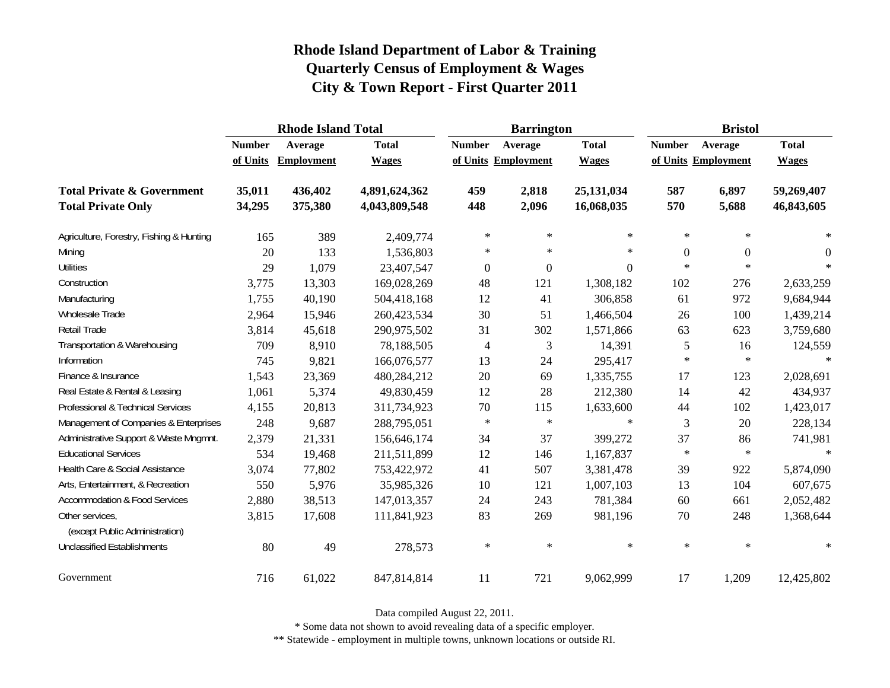|                                                   |               | <b>Rhode Island Total</b> |               |                  | <b>Barrington</b>   |                | <b>Bristol</b> |                     |                |
|---------------------------------------------------|---------------|---------------------------|---------------|------------------|---------------------|----------------|----------------|---------------------|----------------|
|                                                   | <b>Number</b> | Average                   | <b>Total</b>  | <b>Number</b>    | Average             | <b>Total</b>   | <b>Number</b>  | Average             | <b>Total</b>   |
|                                                   | of Units      | <b>Employment</b>         | <b>Wages</b>  |                  | of Units Employment | <b>Wages</b>   |                | of Units Employment | <b>Wages</b>   |
| <b>Total Private &amp; Government</b>             | 35,011        | 436,402                   | 4,891,624,362 | 459              | 2,818               | 25,131,034     | 587            | 6,897               | 59,269,407     |
| <b>Total Private Only</b>                         | 34,295        | 375,380                   | 4,043,809,548 | 448              | 2,096               | 16,068,035     | 570            | 5,688               | 46,843,605     |
| Agriculture, Forestry, Fishing & Hunting          | 165           | 389                       | 2,409,774     | $\ast$           | $\ast$              | $\ast$         | $\ast$         | $\ast$              | ∗              |
| Mining                                            | 20            | 133                       | 1,536,803     | $\ast$           | $\ast$              | $\ast$         | $\mathbf{0}$   | $\boldsymbol{0}$    | $\overline{0}$ |
| <b>Utilities</b>                                  | 29            | 1,079                     | 23,407,547    | $\boldsymbol{0}$ | $\boldsymbol{0}$    | $\overline{0}$ | $\ast$         | $\ast$              | $\ast$         |
| Construction                                      | 3,775         | 13,303                    | 169,028,269   | 48               | 121                 | 1,308,182      | 102            | 276                 | 2,633,259      |
| Manufacturing                                     | 1,755         | 40,190                    | 504,418,168   | 12               | 41                  | 306,858        | 61             | 972                 | 9,684,944      |
| <b>Wholesale Trade</b>                            | 2,964         | 15,946                    | 260,423,534   | 30               | 51                  | 1,466,504      | 26             | 100                 | 1,439,214      |
| Retail Trade                                      | 3,814         | 45,618                    | 290,975,502   | 31               | 302                 | 1,571,866      | 63             | 623                 | 3,759,680      |
| Transportation & Warehousing                      | 709           | 8,910                     | 78,188,505    | $\overline{4}$   | 3                   | 14,391         | 5              | 16                  | 124,559        |
| Information                                       | 745           | 9,821                     | 166,076,577   | 13               | 24                  | 295,417        | $\ast$         | $\ast$              | $\ast$         |
| Finance & Insurance                               | 1,543         | 23,369                    | 480,284,212   | 20               | 69                  | 1,335,755      | 17             | 123                 | 2,028,691      |
| Real Estate & Rental & Leasing                    | 1,061         | 5,374                     | 49,830,459    | 12               | 28                  | 212,380        | 14             | 42                  | 434,937        |
| Professional & Technical Services                 | 4,155         | 20,813                    | 311,734,923   | 70               | 115                 | 1,633,600      | 44             | 102                 | 1,423,017      |
| Management of Companies & Enterprises             | 248           | 9,687                     | 288,795,051   | $\ast$           | $\ast$              | $\ast$         | 3              | 20                  | 228,134        |
| Administrative Support & Waste Mngmnt.            | 2,379         | 21,331                    | 156,646,174   | 34               | 37                  | 399,272        | 37             | 86                  | 741,981        |
| <b>Educational Services</b>                       | 534           | 19,468                    | 211,511,899   | 12               | 146                 | 1,167,837      | $\ast$         | $\ast$              | $\ast$         |
| Health Care & Social Assistance                   | 3,074         | 77,802                    | 753,422,972   | 41               | 507                 | 3,381,478      | 39             | 922                 | 5,874,090      |
| Arts, Entertainment, & Recreation                 | 550           | 5,976                     | 35,985,326    | 10               | 121                 | 1,007,103      | 13             | 104                 | 607,675        |
| <b>Accommodation &amp; Food Services</b>          | 2,880         | 38,513                    | 147,013,357   | 24               | 243                 | 781,384        | 60             | 661                 | 2,052,482      |
| Other services,<br>(except Public Administration) | 3,815         | 17,608                    | 111,841,923   | 83               | 269                 | 981,196        | 70             | 248                 | 1,368,644      |
| <b>Unclassified Establishments</b>                | 80            | 49                        | 278,573       | $\ast$           | $\star$             | $\ast$         | $\ast$         | $\ast$              | $\ast$         |
| Government                                        | 716           | 61,022                    | 847,814,814   | 11               | 721                 | 9,062,999      | 17             | 1,209               | 12,425,802     |

Data compiled August 22, 2011.

\* Some data not shown to avoid revealing data of a specific employer.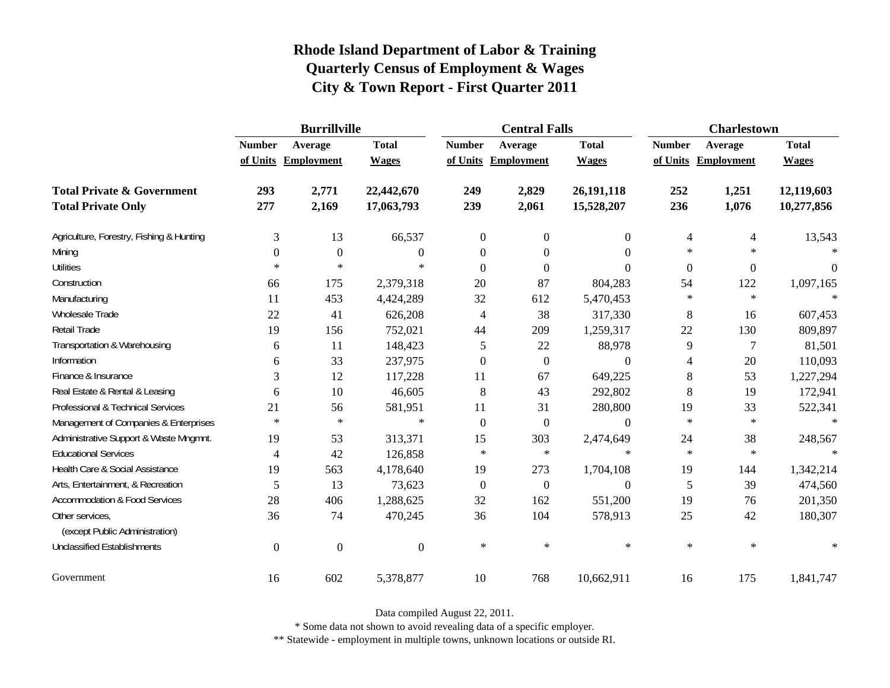|                                                   | <b>Burrillville</b> |                     |                  |                | <b>Central Falls</b> |                  | <b>Charlestown</b> |                     |              |
|---------------------------------------------------|---------------------|---------------------|------------------|----------------|----------------------|------------------|--------------------|---------------------|--------------|
|                                                   | <b>Number</b>       | Average             | <b>Total</b>     | <b>Number</b>  | Average              | <b>Total</b>     | <b>Number</b>      | Average             | <b>Total</b> |
|                                                   |                     | of Units Employment | <b>Wages</b>     |                | of Units Employment  | <b>Wages</b>     |                    | of Units Employment | <b>Wages</b> |
| <b>Total Private &amp; Government</b>             | 293                 | 2,771               | 22,442,670       | 249            | 2,829                | 26,191,118       | 252                | 1,251               | 12,119,603   |
| <b>Total Private Only</b>                         | 277                 | 2,169               | 17,063,793       | 239            | 2,061                | 15,528,207       | 236                | 1,076               | 10,277,856   |
| Agriculture, Forestry, Fishing & Hunting          | 3                   | 13                  | 66,537           | $\overline{0}$ | $\overline{0}$       | $\overline{0}$   | $\overline{4}$     | 4                   | 13,543       |
| Mining                                            | 0                   | $\boldsymbol{0}$    | 0                | $\theta$       | $\theta$             | $\Omega$         | $\ast$             | $\ast$              |              |
| <b>Utilities</b>                                  | $\ast$              | $\ast$              | $\ast$           | $\Omega$       | $\Omega$             | $\theta$         | $\boldsymbol{0}$   | $\boldsymbol{0}$    | 0            |
| Construction                                      | 66                  | 175                 | 2,379,318        | 20             | 87                   | 804,283          | 54                 | 122                 | 1,097,165    |
| Manufacturing                                     | 11                  | 453                 | 4,424,289        | 32             | 612                  | 5,470,453        | $\ast$             | $\ast$              | $\star$      |
| Wholesale Trade                                   | 22                  | 41                  | 626,208          | 4              | 38                   | 317,330          | 8                  | 16                  | 607,453      |
| Retail Trade                                      | 19                  | 156                 | 752,021          | 44             | 209                  | 1,259,317        | 22                 | 130                 | 809,897      |
| Transportation & Warehousing                      | 6                   | 11                  | 148,423          | 5              | 22                   | 88,978           | 9                  | $\overline{7}$      | 81,501       |
| Information                                       | 6                   | 33                  | 237,975          | $\theta$       | $\overline{0}$       | $\Omega$         | 4                  | 20                  | 110,093      |
| Finance & Insurance                               | 3                   | 12                  | 117,228          | 11             | 67                   | 649,225          | 8                  | 53                  | 1,227,294    |
| Real Estate & Rental & Leasing                    | 6                   | 10                  | 46,605           | 8              | 43                   | 292,802          | 8                  | 19                  | 172,941      |
| Professional & Technical Services                 | 21                  | 56                  | 581,951          | 11             | 31                   | 280,800          | 19                 | 33                  | 522,341      |
| Management of Companies & Enterprises             | $\ast$              | $\ast$              | $\ast$           | $\theta$       | $\overline{0}$       | $\Omega$         | $\ast$             | $\ast$              | $\ast$       |
| Administrative Support & Waste Mngmnt.            | 19                  | 53                  | 313,371          | 15             | 303                  | 2,474,649        | 24                 | 38                  | 248,567      |
| <b>Educational Services</b>                       | 4                   | 42                  | 126,858          | $\star$        | $\ast$               | $\ast$           | $\ast$             | $\ast$              |              |
| Health Care & Social Assistance                   | 19                  | 563                 | 4,178,640        | 19             | 273                  | 1,704,108        | 19                 | 144                 | 1,342,214    |
| Arts, Entertainment, & Recreation                 | 5                   | 13                  | 73,623           | $\overline{0}$ | $\overline{0}$       | $\boldsymbol{0}$ | 5                  | 39                  | 474,560      |
| <b>Accommodation &amp; Food Services</b>          | 28                  | 406                 | 1,288,625        | 32             | 162                  | 551,200          | 19                 | 76                  | 201,350      |
| Other services,<br>(except Public Administration) | 36                  | 74                  | 470,245          | 36             | 104                  | 578,913          | 25                 | 42                  | 180,307      |
| <b>Unclassified Establishments</b>                | $\boldsymbol{0}$    | $\mathbf{0}$        | $\boldsymbol{0}$ | $\ast$         | $\ast$               | $\ast$           | $\ast$             | $\ast$              | $\ast$       |
| Government                                        | 16                  | 602                 | 5,378,877        | 10             | 768                  | 10,662,911       | 16                 | 175                 | 1,841,747    |

Data compiled August 22, 2011.

\* Some data not shown to avoid revealing data of a specific employer.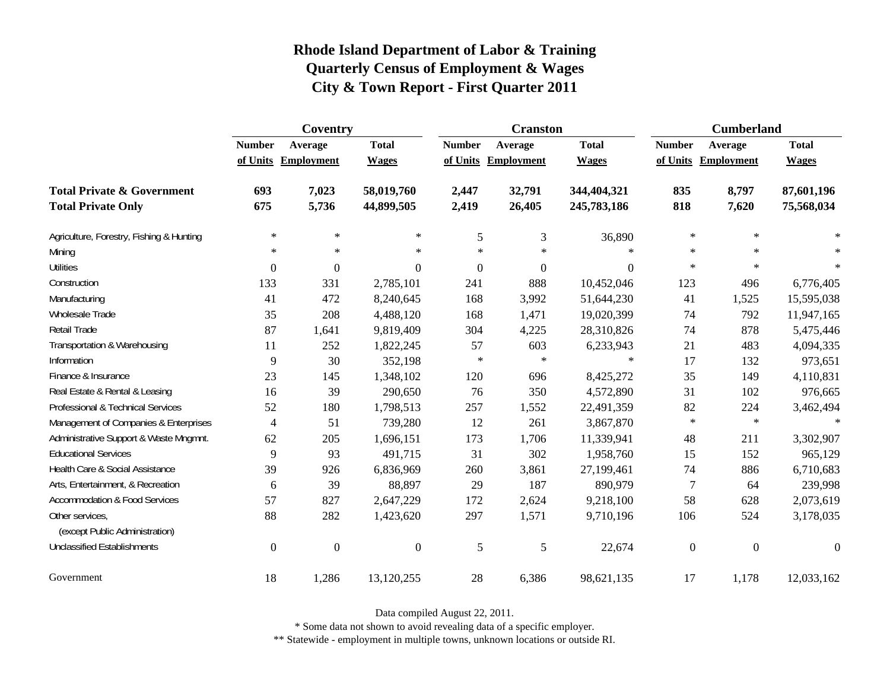|                                                   | Coventry         |                     |                  |               | <b>Cranston</b>     |              | <b>Cumberland</b> |                     |                |
|---------------------------------------------------|------------------|---------------------|------------------|---------------|---------------------|--------------|-------------------|---------------------|----------------|
|                                                   | <b>Number</b>    | Average             | <b>Total</b>     | <b>Number</b> | Average             | <b>Total</b> | <b>Number</b>     | Average             | <b>Total</b>   |
|                                                   |                  | of Units Employment | <b>Wages</b>     |               | of Units Employment | <b>Wages</b> |                   | of Units Employment | <b>Wages</b>   |
| <b>Total Private &amp; Government</b>             | 693              | 7,023               | 58,019,760       | 2,447         | 32,791              | 344,404,321  | 835               | 8,797               | 87,601,196     |
| <b>Total Private Only</b>                         | 675              | 5,736               | 44,899,505       | 2,419         | 26,405              | 245,783,186  | 818               | 7,620               | 75,568,034     |
| Agriculture, Forestry, Fishing & Hunting          | $\ast$           | $\ast$              | $\ast$           | 5             | 3                   | 36,890       | $\ast$            | $\ast$              |                |
| Mining                                            | $\ast$           | $\ast$              | $\ast$           | $\star$       | $\ast$              | $\ast$       | $\ast$            | $\ast$              | $\ast$         |
| <b>Utilities</b>                                  | $\boldsymbol{0}$ | $\overline{0}$      | $\boldsymbol{0}$ | $\mathbf{0}$  | $\boldsymbol{0}$    | $\Omega$     | $\ast$            | $\ast$              | $\ast$         |
| Construction                                      | 133              | 331                 | 2,785,101        | 241           | 888                 | 10,452,046   | 123               | 496                 | 6,776,405      |
| Manufacturing                                     | 41               | 472                 | 8,240,645        | 168           | 3,992               | 51,644,230   | 41                | 1,525               | 15,595,038     |
| Wholesale Trade                                   | 35               | 208                 | 4,488,120        | 168           | 1,471               | 19,020,399   | 74                | 792                 | 11,947,165     |
| Retail Trade                                      | 87               | 1,641               | 9,819,409        | 304           | 4,225               | 28,310,826   | 74                | 878                 | 5,475,446      |
| Transportation & Warehousing                      | 11               | 252                 | 1,822,245        | 57            | 603                 | 6,233,943    | 21                | 483                 | 4,094,335      |
| Information                                       | 9                | 30                  | 352,198          | $\ast$        | $\ast$              | $\ast$       | 17                | 132                 | 973,651        |
| Finance & Insurance                               | 23               | 145                 | 1,348,102        | 120           | 696                 | 8,425,272    | 35                | 149                 | 4,110,831      |
| Real Estate & Rental & Leasing                    | 16               | 39                  | 290,650          | 76            | 350                 | 4,572,890    | 31                | 102                 | 976,665        |
| Professional & Technical Services                 | 52               | 180                 | 1,798,513        | 257           | 1,552               | 22,491,359   | 82                | 224                 | 3,462,494      |
| Management of Companies & Enterprises             | $\overline{4}$   | 51                  | 739,280          | 12            | 261                 | 3,867,870    | $\ast$            | $\ast$              | $\star$        |
| Administrative Support & Waste Mngmnt.            | 62               | 205                 | 1,696,151        | 173           | 1,706               | 11,339,941   | 48                | 211                 | 3,302,907      |
| <b>Educational Services</b>                       | 9                | 93                  | 491,715          | 31            | 302                 | 1,958,760    | 15                | 152                 | 965,129        |
| Health Care & Social Assistance                   | 39               | 926                 | 6,836,969        | 260           | 3,861               | 27,199,461   | 74                | 886                 | 6,710,683      |
| Arts, Entertainment, & Recreation                 | 6                | 39                  | 88,897           | 29            | 187                 | 890,979      | $\tau$            | 64                  | 239,998        |
| <b>Accommodation &amp; Food Services</b>          | 57               | 827                 | 2,647,229        | 172           | 2,624               | 9,218,100    | 58                | 628                 | 2,073,619      |
| Other services,<br>(except Public Administration) | 88               | 282                 | 1,423,620        | 297           | 1,571               | 9,710,196    | 106               | 524                 | 3,178,035      |
| <b>Unclassified Establishments</b>                | $\boldsymbol{0}$ | $\boldsymbol{0}$    | $\overline{0}$   | 5             | 5                   | 22,674       | $\boldsymbol{0}$  | $\boldsymbol{0}$    | $\overline{0}$ |
| Government                                        | 18               | 1,286               | 13,120,255       | 28            | 6,386               | 98,621,135   | 17                | 1,178               | 12,033,162     |

Data compiled August 22, 2011.

\* Some data not shown to avoid revealing data of a specific employer.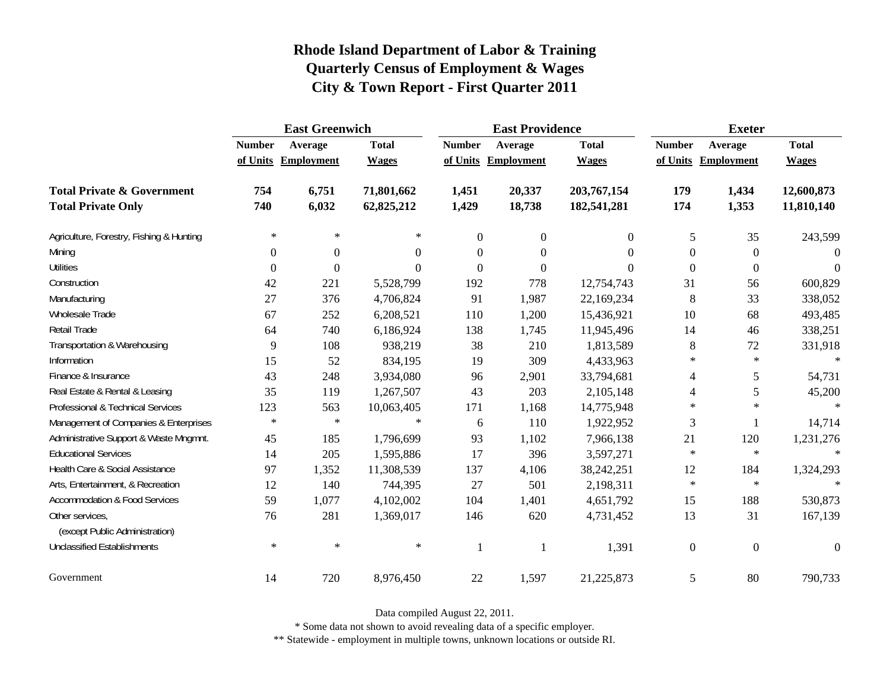|                                                   | <b>East Greenwich</b> |                     |              |                  | <b>East Providence</b> |                | <b>Exeter</b>    |                     |                  |
|---------------------------------------------------|-----------------------|---------------------|--------------|------------------|------------------------|----------------|------------------|---------------------|------------------|
|                                                   | <b>Number</b>         | Average             | <b>Total</b> | <b>Number</b>    | Average                | <b>Total</b>   | <b>Number</b>    | Average             | <b>Total</b>     |
|                                                   |                       | of Units Employment | <b>Wages</b> |                  | of Units Employment    | <b>Wages</b>   |                  | of Units Employment | <b>Wages</b>     |
| <b>Total Private &amp; Government</b>             | 754                   | 6,751               | 71,801,662   | 1,451            | 20,337                 | 203,767,154    | 179              | 1,434               | 12,600,873       |
| <b>Total Private Only</b>                         | 740                   | 6,032               | 62,825,212   | 1,429            | 18,738                 | 182,541,281    | 174              | 1,353               | 11,810,140       |
| Agriculture, Forestry, Fishing & Hunting          | $\ast$                | $\ast$              | $\ast$       | $\overline{0}$   | $\overline{0}$         | $\overline{0}$ | 5                | 35                  | 243,599          |
| Mining                                            | $\theta$              | $\boldsymbol{0}$    | $\Omega$     | $\boldsymbol{0}$ | $\boldsymbol{0}$       | $\Omega$       | $\theta$         | $\boldsymbol{0}$    | $\Omega$         |
| <b>Utilities</b>                                  | $\overline{0}$        | $\boldsymbol{0}$    | $\Omega$     | $\boldsymbol{0}$ | $\overline{0}$         | $\theta$       | $\overline{0}$   | $\boldsymbol{0}$    | $\theta$         |
| Construction                                      | 42                    | 221                 | 5,528,799    | 192              | 778                    | 12,754,743     | 31               | 56                  | 600,829          |
| Manufacturing                                     | 27                    | 376                 | 4,706,824    | 91               | 1,987                  | 22,169,234     | 8                | 33                  | 338,052          |
| Wholesale Trade                                   | 67                    | 252                 | 6,208,521    | 110              | 1,200                  | 15,436,921     | 10               | 68                  | 493,485          |
| Retail Trade                                      | 64                    | 740                 | 6,186,924    | 138              | 1,745                  | 11,945,496     | 14               | 46                  | 338,251          |
| Transportation & Warehousing                      | 9                     | 108                 | 938,219      | 38               | 210                    | 1,813,589      | 8                | 72                  | 331,918          |
| Information                                       | 15                    | 52                  | 834,195      | 19               | 309                    | 4,433,963      | $\ast$           | $\ast$              | $\ast$           |
| Finance & Insurance                               | 43                    | 248                 | 3,934,080    | 96               | 2,901                  | 33,794,681     | 4                | 5                   | 54,731           |
| Real Estate & Rental & Leasing                    | 35                    | 119                 | 1,267,507    | 43               | 203                    | 2,105,148      | 4                | 5                   | 45,200           |
| Professional & Technical Services                 | 123                   | 563                 | 10,063,405   | 171              | 1,168                  | 14,775,948     | $\ast$           | $\ast$              | $\ast$           |
| Management of Companies & Enterprises             | $\ast$                | $\ast$              | $\ast$       | 6                | 110                    | 1,922,952      | 3                | 1                   | 14,714           |
| Administrative Support & Waste Mngmnt.            | 45                    | 185                 | 1,796,699    | 93               | 1,102                  | 7,966,138      | 21               | 120                 | 1,231,276        |
| <b>Educational Services</b>                       | 14                    | 205                 | 1,595,886    | 17               | 396                    | 3,597,271      | $\ast$           | $\ast$              | $\star$          |
| Health Care & Social Assistance                   | 97                    | 1,352               | 11,308,539   | 137              | 4,106                  | 38,242,251     | 12               | 184                 | 1,324,293        |
| Arts, Entertainment, & Recreation                 | 12                    | 140                 | 744,395      | 27               | 501                    | 2,198,311      | $\ast$           | $\ast$              | $\star$          |
| <b>Accommodation &amp; Food Services</b>          | 59                    | 1,077               | 4,102,002    | 104              | 1,401                  | 4,651,792      | 15               | 188                 | 530,873          |
| Other services,<br>(except Public Administration) | 76                    | 281                 | 1,369,017    | 146              | 620                    | 4,731,452      | 13               | 31                  | 167,139          |
| <b>Unclassified Establishments</b>                | $\ast$                | $\ast$              | $\ast$       | 1                |                        | 1,391          | $\boldsymbol{0}$ | $\boldsymbol{0}$    | $\boldsymbol{0}$ |
| Government                                        | 14                    | 720                 | 8,976,450    | 22               | 1,597                  | 21,225,873     | 5                | 80                  | 790,733          |

Data compiled August 22, 2011.

\* Some data not shown to avoid revealing data of a specific employer.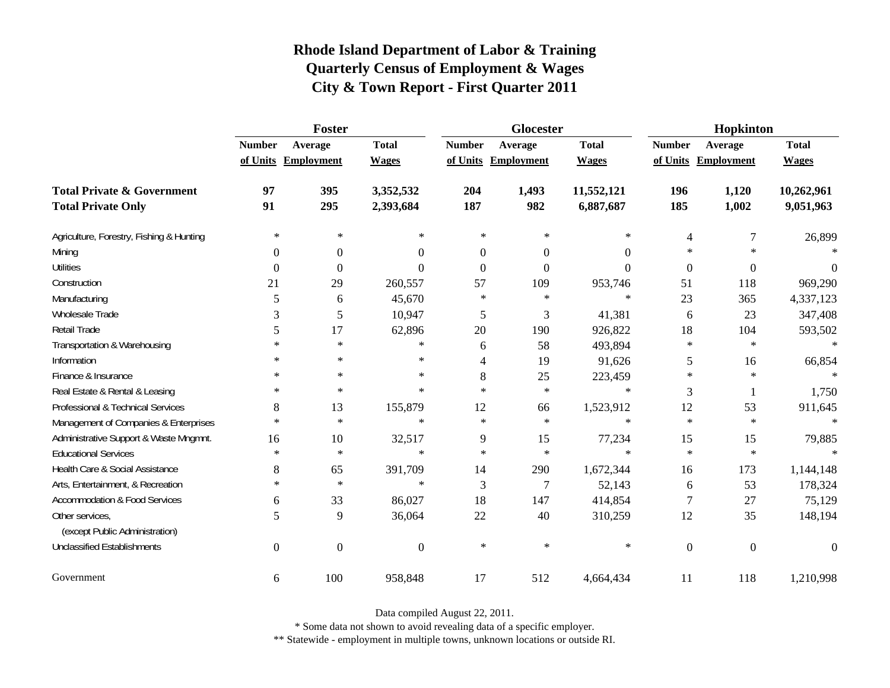|                                                   | Foster           |                     |                  |               | <b>Glocester</b> |              | Hopkinton     |                     |              |
|---------------------------------------------------|------------------|---------------------|------------------|---------------|------------------|--------------|---------------|---------------------|--------------|
|                                                   | <b>Number</b>    | Average             | <b>Total</b>     | <b>Number</b> | Average          | <b>Total</b> | <b>Number</b> | Average             | <b>Total</b> |
|                                                   |                  | of Units Employment | <b>Wages</b>     | of Units      | Employment       | <b>Wages</b> |               | of Units Employment | <b>Wages</b> |
| <b>Total Private &amp; Government</b>             | 97               | 395                 | 3,352,532        | 204           | 1,493            | 11,552,121   | 196           | 1,120               | 10,262,961   |
| <b>Total Private Only</b>                         | 91               | 295                 | 2,393,684        | 187           | 982              | 6,887,687    | 185           | 1,002               | 9,051,963    |
| Agriculture, Forestry, Fishing & Hunting          | $\ast$           | $\ast$              | $\ast$           | $\ast$        | $\ast$           | $\ast$       | 4             | 7                   | 26,899       |
| Mining                                            | $\Omega$         | $\boldsymbol{0}$    | $\theta$         | $\Omega$      | $\Omega$         | $\Omega$     | ∗             | $\ast$              |              |
| <b>Utilities</b>                                  | $\theta$         | $\Omega$            | $\theta$         | $\Omega$      | $\Omega$         | $\theta$     | $\mathbf{0}$  | $\boldsymbol{0}$    | $\Omega$     |
| Construction                                      | 21               | 29                  | 260,557          | 57            | 109              | 953,746      | 51            | 118                 | 969,290      |
| Manufacturing                                     | 5                | 6                   | 45,670           | $\ast$        | $\ast$           | $\ast$       | 23            | 365                 | 4,337,123    |
| <b>Wholesale Trade</b>                            | 3                | 5                   | 10,947           | 5             | 3                | 41,381       | 6             | 23                  | 347,408      |
| Retail Trade                                      | 5                | 17                  | 62,896           | 20            | 190              | 926,822      | 18            | 104                 | 593,502      |
| Transportation & Warehousing                      | $\ast$           | $\ast$              | $\ast$           | 6             | 58               | 493,894      | $\ast$        | $\ast$              | $\ast$       |
| Information                                       | $\ast$           | $\ast$              | $\ast$           | 4             | 19               | 91,626       | 5             | 16                  | 66,854       |
| Finance & Insurance                               | $\ast$           | $\ast$              | $\ast$           | 8             | 25               | 223,459      | $\ast$        | $\ast$              | $\star$      |
| Real Estate & Rental & Leasing                    | $\ast$           | $\ast$              | $\ast$           | $\star$       | $\ast$           | $\ast$       | 3             | 1                   | 1,750        |
| Professional & Technical Services                 | 8                | 13                  | 155,879          | 12            | 66               | 1,523,912    | 12            | 53                  | 911,645      |
| Management of Companies & Enterprises             | $\ast$           | $\ast$              | $\ast$           | $\ast$        | $\ast$           | $\ast$       | $\ast$        | $\ast$              | $\ast$       |
| Administrative Support & Waste Mngmnt.            | 16               | 10                  | 32,517           | 9             | 15               | 77,234       | 15            | 15                  | 79,885       |
| <b>Educational Services</b>                       | $\ast$           | $\ast$              | $\ast$           | $\star$       | $\ast$           | $\ast$       | $\ast$        | $\ast$              |              |
| Health Care & Social Assistance                   | 8                | 65                  | 391,709          | 14            | 290              | 1,672,344    | 16            | 173                 | 1,144,148    |
| Arts, Entertainment, & Recreation                 | $\ast$           | $\ast$              | $\ast$           | 3             | $\overline{7}$   | 52,143       | 6             | 53                  | 178,324      |
| <b>Accommodation &amp; Food Services</b>          | 6                | 33                  | 86,027           | 18            | 147              | 414,854      | 7             | 27                  | 75,129       |
| Other services,<br>(except Public Administration) | 5                | 9                   | 36,064           | 22            | 40               | 310,259      | 12            | 35                  | 148,194      |
| <b>Unclassified Establishments</b>                | $\boldsymbol{0}$ | $\boldsymbol{0}$    | $\boldsymbol{0}$ | $\ast$        | $\ast$           | $\ast$       | $\mathbf{0}$  | $\boldsymbol{0}$    | $\Omega$     |
| Government                                        | 6                | 100                 | 958,848          | 17            | 512              | 4,664,434    | 11            | 118                 | 1,210,998    |

Data compiled August 22, 2011.

\* Some data not shown to avoid revealing data of a specific employer.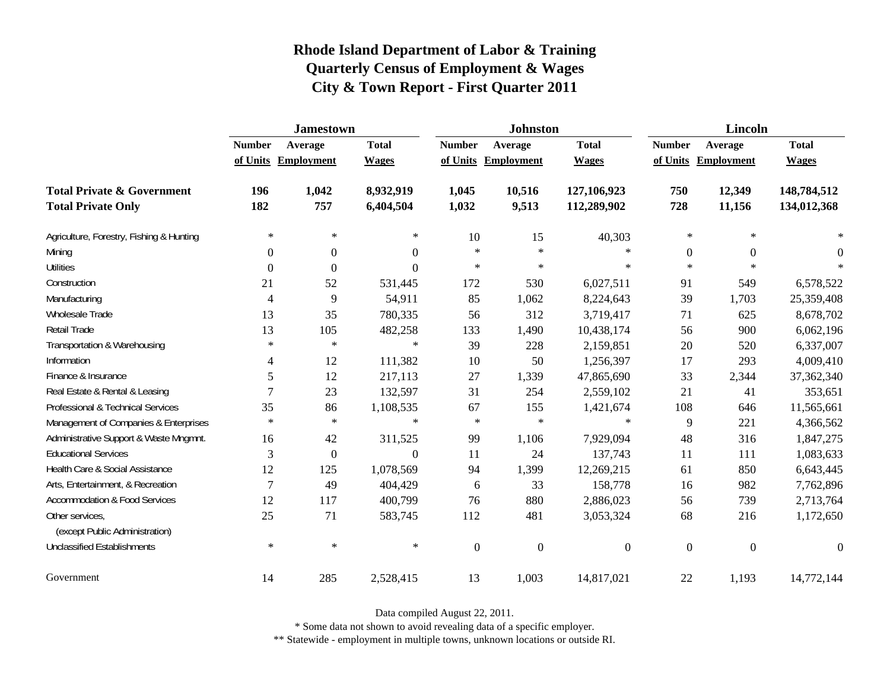|                                                   | <b>Jamestown</b> |                     |                  |                  | <b>Johnston</b>   |                  | <b>Lincoln</b>   |                   |                  |
|---------------------------------------------------|------------------|---------------------|------------------|------------------|-------------------|------------------|------------------|-------------------|------------------|
|                                                   | <b>Number</b>    | Average             | <b>Total</b>     | <b>Number</b>    | Average           | <b>Total</b>     | <b>Number</b>    | Average           | <b>Total</b>     |
|                                                   |                  | of Units Employment | <b>Wages</b>     | of Units         | <b>Employment</b> | <b>Wages</b>     | of Units         | <b>Employment</b> | <b>Wages</b>     |
| <b>Total Private &amp; Government</b>             | 196              | 1,042               | 8,932,919        | 1,045            | 10,516            | 127,106,923      | 750              | 12,349            | 148,784,512      |
| <b>Total Private Only</b>                         | 182              | 757                 | 6,404,504        | 1,032            | 9,513             | 112,289,902      | 728              | 11,156            | 134,012,368      |
| Agriculture, Forestry, Fishing & Hunting          | $\ast$           | $\ast$              | $\ast$           | 10               | 15                | 40,303           | $\ast$           | $\ast$            |                  |
| Mining                                            | 0                | $\boldsymbol{0}$    | $\boldsymbol{0}$ | $\star$          | $\ast$            | $\ast$           | $\mathbf{0}$     | $\boldsymbol{0}$  | $\theta$         |
| <b>Utilities</b>                                  | 0                | $\boldsymbol{0}$    | $\theta$         | $\star$          | $\ast$            | $\ast$           | $\ast$           | $\ast$            |                  |
| Construction                                      | 21               | 52                  | 531,445          | 172              | 530               | 6,027,511        | 91               | 549               | 6,578,522        |
| Manufacturing                                     | 4                | 9                   | 54,911           | 85               | 1,062             | 8,224,643        | 39               | 1,703             | 25,359,408       |
| Wholesale Trade                                   | 13               | 35                  | 780,335          | 56               | 312               | 3,719,417        | 71               | 625               | 8,678,702        |
| Retail Trade                                      | 13               | 105                 | 482,258          | 133              | 1,490             | 10,438,174       | 56               | 900               | 6,062,196        |
| Transportation & Warehousing                      | $\ast$           | $\ast$              | $\ast$           | 39               | 228               | 2,159,851        | 20               | 520               | 6,337,007        |
| Information                                       | 4                | 12                  | 111,382          | 10               | 50                | 1,256,397        | 17               | 293               | 4,009,410        |
| Finance & Insurance                               | 5                | 12                  | 217,113          | 27               | 1,339             | 47,865,690       | 33               | 2,344             | 37,362,340       |
| Real Estate & Rental & Leasing                    | 7                | 23                  | 132,597          | 31               | 254               | 2,559,102        | 21               | 41                | 353,651          |
| Professional & Technical Services                 | 35               | 86                  | 1,108,535        | 67               | 155               | 1,421,674        | 108              | 646               | 11,565,661       |
| Management of Companies & Enterprises             | $\ast$           | $\ast$              | $\ast$           | $\ast$           | $\ast$            | $\ast$           | 9                | 221               | 4,366,562        |
| Administrative Support & Waste Mngmnt.            | 16               | 42                  | 311,525          | 99               | 1,106             | 7,929,094        | 48               | 316               | 1,847,275        |
| <b>Educational Services</b>                       | 3                | $\mathbf{0}$        | $\overline{0}$   | 11               | 24                | 137,743          | 11               | 111               | 1,083,633        |
| Health Care & Social Assistance                   | 12               | 125                 | 1,078,569        | 94               | 1,399             | 12,269,215       | 61               | 850               | 6,643,445        |
| Arts, Entertainment, & Recreation                 | 7                | 49                  | 404,429          | 6                | 33                | 158,778          | 16               | 982               | 7,762,896        |
| <b>Accommodation &amp; Food Services</b>          | 12               | 117                 | 400,799          | 76               | 880               | 2,886,023        | 56               | 739               | 2,713,764        |
| Other services,<br>(except Public Administration) | 25               | 71                  | 583,745          | 112              | 481               | 3,053,324        | 68               | 216               | 1,172,650        |
| <b>Unclassified Establishments</b>                | $\ast$           | $\ast$              | $\ast$           | $\boldsymbol{0}$ | $\boldsymbol{0}$  | $\boldsymbol{0}$ | $\boldsymbol{0}$ | $\boldsymbol{0}$  | $\boldsymbol{0}$ |
| Government                                        | 14               | 285                 | 2,528,415        | 13               | 1,003             | 14,817,021       | 22               | 1,193             | 14,772,144       |

Data compiled August 22, 2011.

\* Some data not shown to avoid revealing data of a specific employer.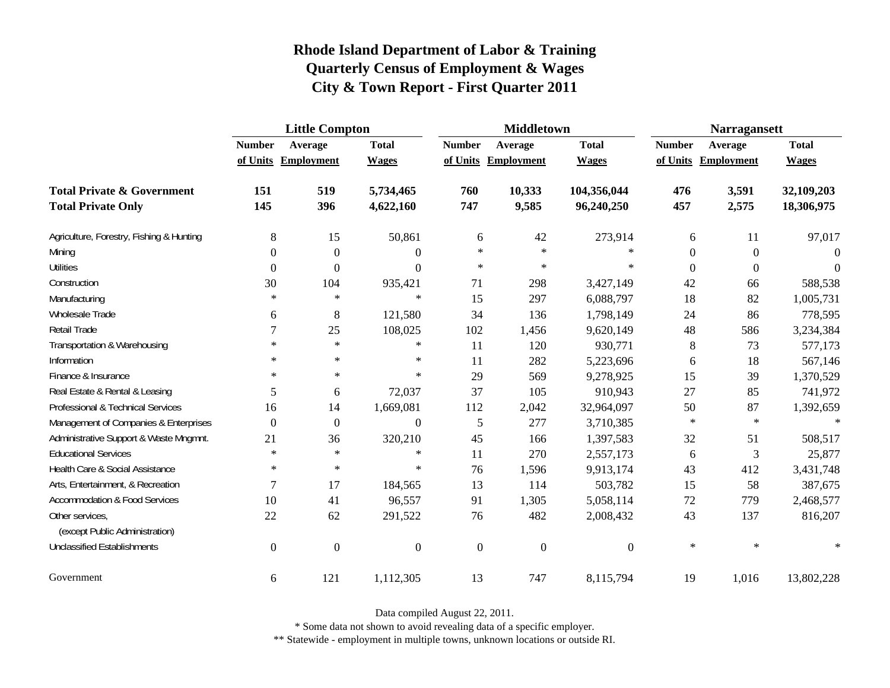|                                                   | <b>Little Compton</b> |                     |                |                  | <b>Middletown</b>   |                  | <b>Narragansett</b> |                     |              |
|---------------------------------------------------|-----------------------|---------------------|----------------|------------------|---------------------|------------------|---------------------|---------------------|--------------|
|                                                   | <b>Number</b>         | Average             | <b>Total</b>   | <b>Number</b>    | Average             | <b>Total</b>     | <b>Number</b>       | Average             | <b>Total</b> |
|                                                   |                       | of Units Employment | <b>Wages</b>   |                  | of Units Employment | <b>Wages</b>     |                     | of Units Employment | <b>Wages</b> |
| <b>Total Private &amp; Government</b>             | 151                   | 519                 | 5,734,465      | 760              | 10,333              | 104,356,044      | 476                 | 3,591               | 32,109,203   |
| <b>Total Private Only</b>                         | 145                   | 396                 | 4,622,160      | 747              | 9,585               | 96,240,250       | 457                 | 2,575               | 18,306,975   |
| Agriculture, Forestry, Fishing & Hunting          | $\,8\,$               | 15                  | 50,861         | 6                | 42                  | 273,914          | 6                   | 11                  | 97,017       |
| Mining                                            | $\Omega$              | $\boldsymbol{0}$    | $\Omega$       | $\ast$           | $\ast$              | $\ast$           | $\theta$            | $\overline{0}$      | 0            |
| <b>Utilities</b>                                  | $\boldsymbol{0}$      | $\boldsymbol{0}$    | $\Omega$       | $\ast$           | $\ast$              | $\ast$           | $\theta$            | $\boldsymbol{0}$    | $\Omega$     |
| Construction                                      | 30                    | 104                 | 935,421        | 71               | 298                 | 3,427,149        | 42                  | 66                  | 588,538      |
| Manufacturing                                     | $\ast$                | $\ast$              | $\ast$         | 15               | 297                 | 6,088,797        | 18                  | 82                  | 1,005,731    |
| Wholesale Trade                                   | 6                     | $8\,$               | 121,580        | 34               | 136                 | 1,798,149        | 24                  | 86                  | 778,595      |
| <b>Retail Trade</b>                               | 7                     | 25                  | 108,025        | 102              | 1,456               | 9,620,149        | 48                  | 586                 | 3,234,384    |
| Transportation & Warehousing                      | $\ast$                | $\ast$              | $\ast$         | 11               | 120                 | 930,771          | $8\phantom{.0}$     | 73                  | 577,173      |
| Information                                       | $\ast$                | $\ast$              | $\ast$         | 11               | 282                 | 5,223,696        | 6                   | 18                  | 567,146      |
| Finance & Insurance                               | $\ast$                | $\ast$              | $\ast$         | 29               | 569                 | 9,278,925        | 15                  | 39                  | 1,370,529    |
| Real Estate & Rental & Leasing                    | 5                     | 6                   | 72,037         | 37               | 105                 | 910,943          | 27                  | 85                  | 741,972      |
| Professional & Technical Services                 | 16                    | 14                  | 1,669,081      | 112              | 2,042               | 32,964,097       | 50                  | 87                  | 1,392,659    |
| Management of Companies & Enterprises             | $\Omega$              | $\boldsymbol{0}$    | $\Omega$       | 5                | 277                 | 3,710,385        | $\ast$              | $\ast$              | $\ast$       |
| Administrative Support & Waste Mngmnt.            | 21                    | 36                  | 320,210        | 45               | 166                 | 1,397,583        | 32                  | 51                  | 508,517      |
| <b>Educational Services</b>                       | $\ast$                | $\ast$              | $\ast$         | 11               | 270                 | 2,557,173        | 6                   | 3                   | 25,877       |
| Health Care & Social Assistance                   | $\ast$                | $\ast$              | $\ast$         | 76               | 1,596               | 9,913,174        | 43                  | 412                 | 3,431,748    |
| Arts, Entertainment, & Recreation                 | 7                     | 17                  | 184,565        | 13               | 114                 | 503,782          | 15                  | 58                  | 387,675      |
| <b>Accommodation &amp; Food Services</b>          | 10                    | 41                  | 96,557         | 91               | 1,305               | 5,058,114        | 72                  | 779                 | 2,468,577    |
| Other services,<br>(except Public Administration) | 22                    | 62                  | 291,522        | 76               | 482                 | 2,008,432        | 43                  | 137                 | 816,207      |
| <b>Unclassified Establishments</b>                | $\boldsymbol{0}$      | $\boldsymbol{0}$    | $\overline{0}$ | $\boldsymbol{0}$ | $\boldsymbol{0}$    | $\boldsymbol{0}$ | $\ast$              | $\ast$              | $\ast$       |
| Government                                        | 6                     | 121                 | 1,112,305      | 13               | 747                 | 8,115,794        | 19                  | 1,016               | 13,802,228   |

Data compiled August 22, 2011.

\* Some data not shown to avoid revealing data of a specific employer.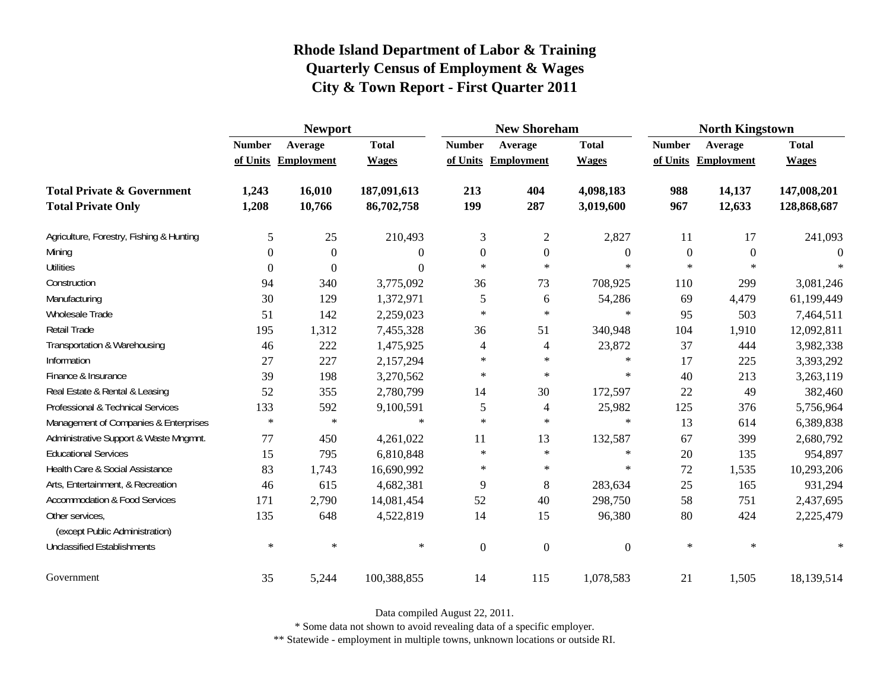|                                                   | <b>Newport</b> |                     |                |                  | <b>New Shoreham</b> |                  | <b>North Kingstown</b> |                     |              |
|---------------------------------------------------|----------------|---------------------|----------------|------------------|---------------------|------------------|------------------------|---------------------|--------------|
|                                                   | <b>Number</b>  | Average             | <b>Total</b>   | <b>Number</b>    | Average             | <b>Total</b>     | <b>Number</b>          | Average             | <b>Total</b> |
|                                                   |                | of Units Employment | <b>Wages</b>   |                  | of Units Employment | <b>Wages</b>     |                        | of Units Employment | <b>Wages</b> |
| <b>Total Private &amp; Government</b>             | 1,243          | 16,010              | 187,091,613    | 213              | 404                 | 4,098,183        | 988                    | 14,137              | 147,008,201  |
| <b>Total Private Only</b>                         | 1,208          | 10,766              | 86,702,758     | 199              | 287                 | 3,019,600        | 967                    | 12,633              | 128,868,687  |
| Agriculture, Forestry, Fishing & Hunting          | 5              | 25                  | 210,493        | 3                | $\overline{c}$      | 2,827            | 11                     | 17                  | 241,093      |
| Mining                                            | 0              | $\overline{0}$      | 0              | $\boldsymbol{0}$ | $\mathbf{0}$        | $\boldsymbol{0}$ | $\boldsymbol{0}$       | $\theta$            | $\Omega$     |
| <b>Utilities</b>                                  | 0              | $\Omega$            | $\overline{0}$ | $\ast$           | $\star$             | $\ast$           | $\ast$                 | $\ast$              |              |
| Construction                                      | 94             | 340                 | 3,775,092      | 36               | 73                  | 708,925          | 110                    | 299                 | 3,081,246    |
| Manufacturing                                     | 30             | 129                 | 1,372,971      | 5                | 6                   | 54,286           | 69                     | 4,479               | 61,199,449   |
| Wholesale Trade                                   | 51             | 142                 | 2,259,023      | $\star$          | $\ast$              | $\ast$           | 95                     | 503                 | 7,464,511    |
| Retail Trade                                      | 195            | 1,312               | 7,455,328      | 36               | 51                  | 340,948          | 104                    | 1,910               | 12,092,811   |
| Transportation & Warehousing                      | 46             | 222                 | 1,475,925      | 4                | 4                   | 23,872           | 37                     | 444                 | 3,982,338    |
| Information                                       | 27             | 227                 | 2,157,294      | $\ast$           | $\ast$              | $\ast$           | 17                     | 225                 | 3,393,292    |
| Finance & Insurance                               | 39             | 198                 | 3,270,562      | $\ast$           | $\ast$              | $\ast$           | 40                     | 213                 | 3,263,119    |
| Real Estate & Rental & Leasing                    | 52             | 355                 | 2,780,799      | 14               | 30                  | 172,597          | 22                     | 49                  | 382,460      |
| Professional & Technical Services                 | 133            | 592                 | 9,100,591      | 5                | 4                   | 25,982           | 125                    | 376                 | 5,756,964    |
| Management of Companies & Enterprises             | $\ast$         | $\ast$              | $\ast$         | $\star$          | $\ast$              | $\ast$           | 13                     | 614                 | 6,389,838    |
| Administrative Support & Waste Mngmnt.            | 77             | 450                 | 4,261,022      | 11               | 13                  | 132,587          | 67                     | 399                 | 2,680,792    |
| <b>Educational Services</b>                       | 15             | 795                 | 6,810,848      | $\ast$           | $\ast$              | $\ast$           | 20                     | 135                 | 954,897      |
| Health Care & Social Assistance                   | 83             | 1,743               | 16,690,992     | $\ast$           | $\ast$              | $\ast$           | 72                     | 1,535               | 10,293,206   |
| Arts, Entertainment, & Recreation                 | 46             | 615                 | 4,682,381      | 9                | 8                   | 283,634          | 25                     | 165                 | 931,294      |
| <b>Accommodation &amp; Food Services</b>          | 171            | 2,790               | 14,081,454     | 52               | 40                  | 298,750          | 58                     | 751                 | 2,437,695    |
| Other services,<br>(except Public Administration) | 135            | 648                 | 4,522,819      | 14               | 15                  | 96,380           | 80                     | 424                 | 2,225,479    |
| <b>Unclassified Establishments</b>                | $\ast$         | $\ast$              | $\ast$         | $\mathbf{0}$     | $\boldsymbol{0}$    | $\boldsymbol{0}$ | $\ast$                 | $\ast$              | $\ast$       |
| Government                                        | 35             | 5,244               | 100,388,855    | 14               | 115                 | 1,078,583        | 21                     | 1,505               | 18,139,514   |

Data compiled August 22, 2011.

\* Some data not shown to avoid revealing data of a specific employer.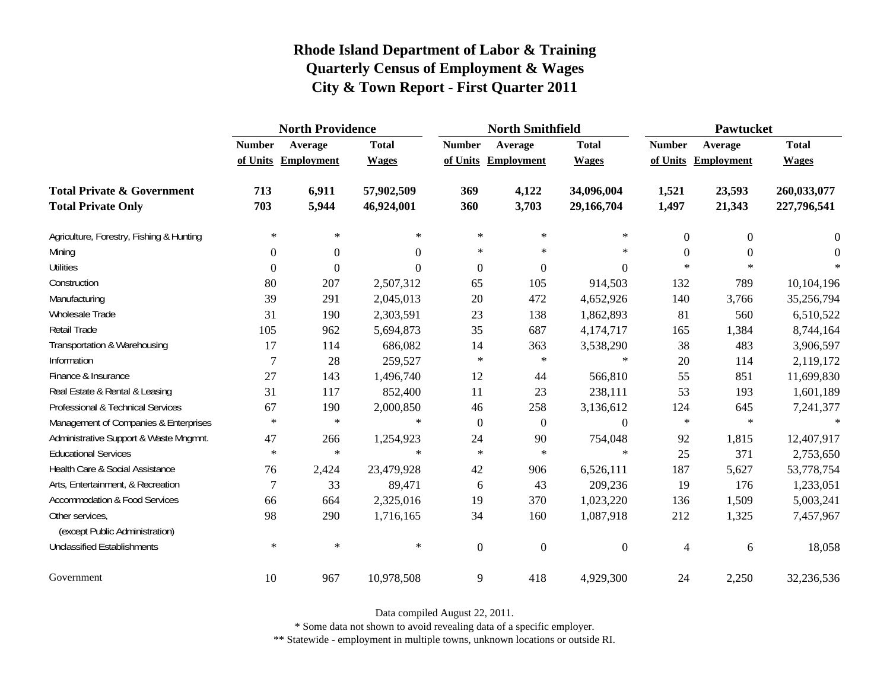|                                                   | <b>North Providence</b> |                     |              |                  | <b>North Smithfield</b> |                  | <b>Pawtucket</b> |                     |              |
|---------------------------------------------------|-------------------------|---------------------|--------------|------------------|-------------------------|------------------|------------------|---------------------|--------------|
|                                                   | <b>Number</b>           | Average             | <b>Total</b> | <b>Number</b>    | Average                 | <b>Total</b>     | <b>Number</b>    | Average             | <b>Total</b> |
|                                                   |                         | of Units Employment | <b>Wages</b> |                  | of Units Employment     | <b>Wages</b>     |                  | of Units Employment | <b>Wages</b> |
| <b>Total Private &amp; Government</b>             | 713                     | 6,911               | 57,902,509   | 369              | 4,122                   | 34,096,004       | 1,521            | 23,593              | 260,033,077  |
| <b>Total Private Only</b>                         | 703                     | 5,944               | 46,924,001   | 360              | 3,703                   | 29,166,704       | 1,497            | 21,343              | 227,796,541  |
| Agriculture, Forestry, Fishing & Hunting          | $\ast$                  | $\ast$              | $\ast$       | $\ast$           | $\ast$                  | $\ast$           | $\overline{0}$   | $\overline{0}$      | 0            |
| Mining                                            | $\boldsymbol{0}$        | $\boldsymbol{0}$    | $\Omega$     | $\ast$           | $\ast$                  | $\ast$           | $\mathbf{0}$     | $\overline{0}$      | $\Omega$     |
| <b>Utilities</b>                                  | $\mathbf{0}$            | $\overline{0}$      | $\Omega$     | $\boldsymbol{0}$ | $\boldsymbol{0}$        | $\boldsymbol{0}$ | $*$              | $\ast$              |              |
| Construction                                      | 80                      | 207                 | 2,507,312    | 65               | 105                     | 914,503          | 132              | 789                 | 10,104,196   |
| Manufacturing                                     | 39                      | 291                 | 2,045,013    | 20               | 472                     | 4,652,926        | 140              | 3,766               | 35,256,794   |
| Wholesale Trade                                   | 31                      | 190                 | 2,303,591    | 23               | 138                     | 1,862,893        | 81               | 560                 | 6,510,522    |
| Retail Trade                                      | 105                     | 962                 | 5,694,873    | 35               | 687                     | 4,174,717        | 165              | 1,384               | 8,744,164    |
| Transportation & Warehousing                      | 17                      | 114                 | 686,082      | 14               | 363                     | 3,538,290        | 38               | 483                 | 3,906,597    |
| Information                                       | $\overline{7}$          | 28                  | 259,527      | $\ast$           | $\ast$                  | $\ast$           | 20               | 114                 | 2,119,172    |
| Finance & Insurance                               | 27                      | 143                 | 1,496,740    | 12               | 44                      | 566,810          | 55               | 851                 | 11,699,830   |
| Real Estate & Rental & Leasing                    | 31                      | 117                 | 852,400      | 11               | 23                      | 238,111          | 53               | 193                 | 1,601,189    |
| Professional & Technical Services                 | 67                      | 190                 | 2,000,850    | 46               | 258                     | 3,136,612        | 124              | 645                 | 7,241,377    |
| Management of Companies & Enterprises             | $\ast$                  | $\ast$              | $\ast$       | $\overline{0}$   | $\overline{0}$          | $\boldsymbol{0}$ | $\ast$           | $\ast$              | $\star$      |
| Administrative Support & Waste Mngmnt.            | 47                      | 266                 | 1,254,923    | 24               | 90                      | 754,048          | 92               | 1,815               | 12,407,917   |
| <b>Educational Services</b>                       | $\ast$                  | $\ast$              | $\ast$       | $\ast$           | $\ast$                  | $\ast$           | 25               | 371                 | 2,753,650    |
| Health Care & Social Assistance                   | 76                      | 2,424               | 23,479,928   | 42               | 906                     | 6,526,111        | 187              | 5,627               | 53,778,754   |
| Arts, Entertainment, & Recreation                 | 7                       | 33                  | 89,471       | 6                | 43                      | 209,236          | 19               | 176                 | 1,233,051    |
| <b>Accommodation &amp; Food Services</b>          | 66                      | 664                 | 2,325,016    | 19               | 370                     | 1,023,220        | 136              | 1,509               | 5,003,241    |
| Other services,<br>(except Public Administration) | 98                      | 290                 | 1,716,165    | 34               | 160                     | 1,087,918        | 212              | 1,325               | 7,457,967    |
| <b>Unclassified Establishments</b>                | $\ast$                  | $\ast$              | $\ast$       | $\mathbf{0}$     | $\mathbf{0}$            | $\boldsymbol{0}$ | 4                | 6                   | 18,058       |
| Government                                        | 10                      | 967                 | 10,978,508   | $\mathbf{9}$     | 418                     | 4,929,300        | 24               | 2,250               | 32,236,536   |

Data compiled August 22, 2011.

\* Some data not shown to avoid revealing data of a specific employer.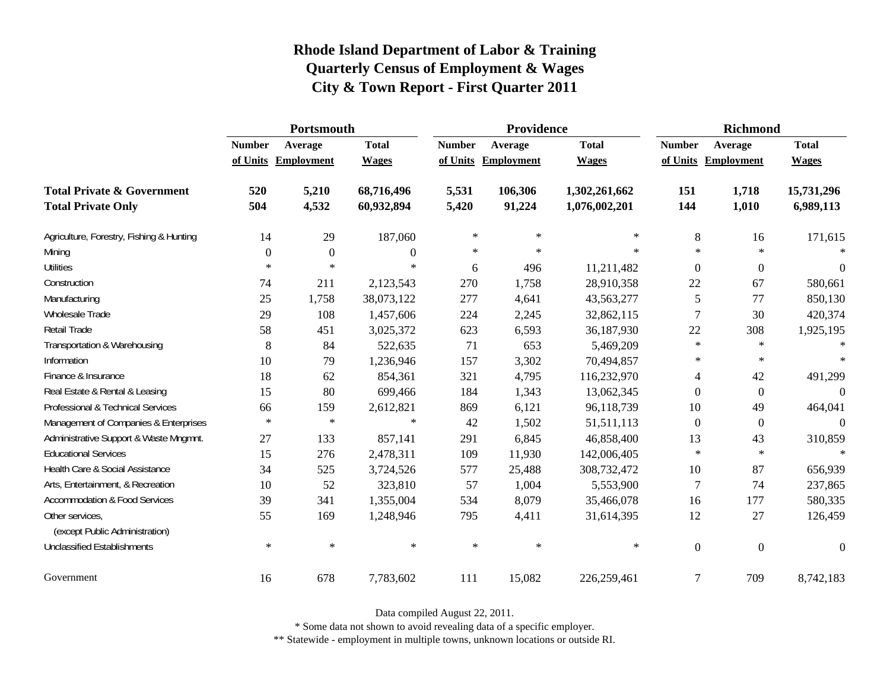|                                                   | Portsmouth    |                     |                  |               | Providence          |               | <b>Richmond</b>  |                     |                  |
|---------------------------------------------------|---------------|---------------------|------------------|---------------|---------------------|---------------|------------------|---------------------|------------------|
|                                                   | <b>Number</b> | Average             | <b>Total</b>     | <b>Number</b> | Average             | <b>Total</b>  | <b>Number</b>    | Average             | <b>Total</b>     |
|                                                   |               | of Units Employment | <b>Wages</b>     |               | of Units Employment | <b>Wages</b>  |                  | of Units Employment | <b>Wages</b>     |
| <b>Total Private &amp; Government</b>             | 520           | 5,210               | 68,716,496       | 5,531         | 106,306             | 1,302,261,662 | 151              | 1,718               | 15,731,296       |
| <b>Total Private Only</b>                         | 504           | 4,532               | 60,932,894       | 5,420         | 91,224              | 1,076,002,201 | 144              | 1,010               | 6,989,113        |
| Agriculture, Forestry, Fishing & Hunting          | 14            | 29                  | 187,060          | $\ast$        | $\ast$              | $\ast$        | 8                | 16                  | 171,615          |
| Mining                                            | $\mathbf{0}$  | $\boldsymbol{0}$    | $\boldsymbol{0}$ | $\ast$        | $\ast$              | $\star$       | $\ast$           | $\star$             | $\ast$           |
| <b>Utilities</b>                                  | $\ast$        | $\ast$              | $\ast$           | 6             | 496                 | 11,211,482    | $\boldsymbol{0}$ | $\boldsymbol{0}$    | $\boldsymbol{0}$ |
| Construction                                      | 74            | 211                 | 2,123,543        | 270           | 1,758               | 28,910,358    | 22               | 67                  | 580,661          |
| Manufacturing                                     | 25            | 1,758               | 38,073,122       | 277           | 4,641               | 43,563,277    | 5                | 77                  | 850,130          |
| Wholesale Trade                                   | 29            | 108                 | 1,457,606        | 224           | 2,245               | 32,862,115    | $\overline{7}$   | 30                  | 420,374          |
| <b>Retail Trade</b>                               | 58            | 451                 | 3,025,372        | 623           | 6,593               | 36,187,930    | 22               | 308                 | 1,925,195        |
| Transportation & Warehousing                      | $\,8\,$       | 84                  | 522,635          | 71            | 653                 | 5,469,209     | $\ast$           | $\ast$              | $\ast$           |
| Information                                       | 10            | 79                  | 1,236,946        | 157           | 3,302               | 70,494,857    | $\ast$           | $\ast$              | $\ast$           |
| Finance & Insurance                               | 18            | 62                  | 854,361          | 321           | 4,795               | 116,232,970   | 4                | 42                  | 491,299          |
| Real Estate & Rental & Leasing                    | 15            | 80                  | 699,466          | 184           | 1,343               | 13,062,345    | $\Omega$         | $\overline{0}$      | $\Omega$         |
| Professional & Technical Services                 | 66            | 159                 | 2,612,821        | 869           | 6,121               | 96,118,739    | 10               | 49                  | 464,041          |
| Management of Companies & Enterprises             | $\ast$        | $\ast$              | $\ast$           | 42            | 1,502               | 51,511,113    | $\mathbf{0}$     | $\boldsymbol{0}$    | $\Omega$         |
| Administrative Support & Waste Mngmnt.            | 27            | 133                 | 857,141          | 291           | 6,845               | 46,858,400    | 13               | 43                  | 310,859          |
| <b>Educational Services</b>                       | 15            | 276                 | 2,478,311        | 109           | 11,930              | 142,006,405   | $\ast$           | $\star$             | $\star$          |
| Health Care & Social Assistance                   | 34            | 525                 | 3,724,526        | 577           | 25,488              | 308,732,472   | 10               | 87                  | 656,939          |
| Arts, Entertainment, & Recreation                 | 10            | 52                  | 323,810          | 57            | 1,004               | 5,553,900     | $\overline{7}$   | 74                  | 237,865          |
| <b>Accommodation &amp; Food Services</b>          | 39            | 341                 | 1,355,004        | 534           | 8,079               | 35,466,078    | 16               | 177                 | 580,335          |
| Other services,<br>(except Public Administration) | 55            | 169                 | 1,248,946        | 795           | 4,411               | 31,614,395    | 12               | 27                  | 126,459          |
| <b>Unclassified Establishments</b>                | $\ast$        | $\ast$              | $\ast$           | $\ast$        | $\ast$              | $\ast$        | $\boldsymbol{0}$ | $\overline{0}$      | $\boldsymbol{0}$ |
| Government                                        | 16            | 678                 | 7,783,602        | 111           | 15,082              | 226,259,461   | $\overline{7}$   | 709                 | 8,742,183        |

Data compiled August 22, 2011.

\* Some data not shown to avoid revealing data of a specific employer.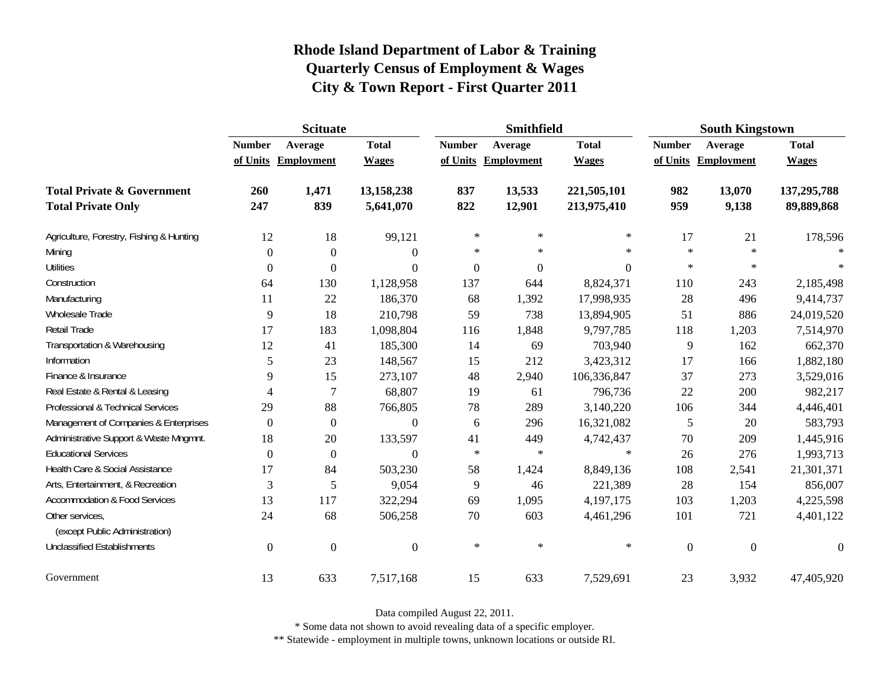|                                                   | <b>Scituate</b>  |                     |                  |                  | Smithfield     |                  | <b>South Kingstown</b> |                     |                  |
|---------------------------------------------------|------------------|---------------------|------------------|------------------|----------------|------------------|------------------------|---------------------|------------------|
|                                                   | <b>Number</b>    | Average             | <b>Total</b>     | <b>Number</b>    | Average        | <b>Total</b>     | <b>Number</b>          | Average             | <b>Total</b>     |
|                                                   |                  | of Units Employment | <b>Wages</b>     | of Units         | Employment     | <b>Wages</b>     |                        | of Units Employment | <b>Wages</b>     |
| <b>Total Private &amp; Government</b>             | 260              | 1,471               | 13,158,238       | 837              | 13,533         | 221,505,101      | 982                    | 13,070              | 137,295,788      |
| <b>Total Private Only</b>                         | 247              | 839                 | 5,641,070        | 822              | 12,901         | 213,975,410      | 959                    | 9,138               | 89,889,868       |
| Agriculture, Forestry, Fishing & Hunting          | 12               | 18                  | 99,121           | $\ast$           | $\ast$         | $\ast$           | 17                     | 21                  | 178,596          |
| Mining                                            | $\theta$         | $\boldsymbol{0}$    | $\boldsymbol{0}$ | $\ast$           | $\ast$         | $\ast$           | $\ast$                 | $\ast$              | $\ast$           |
| <b>Utilities</b>                                  | 0                | $\boldsymbol{0}$    | $\overline{0}$   | $\boldsymbol{0}$ | $\overline{0}$ | $\boldsymbol{0}$ | $\ast$                 | $\ast$              |                  |
| Construction                                      | 64               | 130                 | 1,128,958        | 137              | 644            | 8,824,371        | 110                    | 243                 | 2,185,498        |
| Manufacturing                                     | 11               | 22                  | 186,370          | 68               | 1,392          | 17,998,935       | 28                     | 496                 | 9,414,737        |
| Wholesale Trade                                   | 9                | 18                  | 210,798          | 59               | 738            | 13,894,905       | 51                     | 886                 | 24,019,520       |
| Retail Trade                                      | 17               | 183                 | 1,098,804        | 116              | 1,848          | 9,797,785        | 118                    | 1,203               | 7,514,970        |
| Transportation & Warehousing                      | 12               | 41                  | 185,300          | 14               | 69             | 703,940          | 9                      | 162                 | 662,370          |
| Information                                       | 5                | 23                  | 148,567          | 15               | 212            | 3,423,312        | 17                     | 166                 | 1,882,180        |
| Finance & Insurance                               | 9                | 15                  | 273,107          | 48               | 2,940          | 106,336,847      | 37                     | 273                 | 3,529,016        |
| Real Estate & Rental & Leasing                    | 4                | 7                   | 68,807           | 19               | 61             | 796,736          | 22                     | 200                 | 982,217          |
| Professional & Technical Services                 | 29               | 88                  | 766,805          | 78               | 289            | 3,140,220        | 106                    | 344                 | 4,446,401        |
| Management of Companies & Enterprises             | $\theta$         | $\boldsymbol{0}$    | $\overline{0}$   | 6                | 296            | 16,321,082       | 5                      | 20                  | 583,793          |
| Administrative Support & Waste Mngmnt.            | 18               | 20                  | 133,597          | 41               | 449            | 4,742,437        | 70                     | 209                 | 1,445,916        |
| <b>Educational Services</b>                       | $\Omega$         | $\boldsymbol{0}$    | $\theta$         | $\ast$           | $\ast$         | $\ast$           | 26                     | 276                 | 1,993,713        |
| Health Care & Social Assistance                   | 17               | 84                  | 503,230          | 58               | 1,424          | 8,849,136        | 108                    | 2,541               | 21,301,371       |
| Arts, Entertainment, & Recreation                 | 3                | 5                   | 9,054            | 9                | 46             | 221,389          | 28                     | 154                 | 856,007          |
| <b>Accommodation &amp; Food Services</b>          | 13               | 117                 | 322,294          | 69               | 1,095          | 4,197,175        | 103                    | 1,203               | 4,225,598        |
| Other services,<br>(except Public Administration) | 24               | 68                  | 506,258          | 70               | 603            | 4,461,296        | 101                    | 721                 | 4,401,122        |
| <b>Unclassified Establishments</b>                | $\boldsymbol{0}$ | $\boldsymbol{0}$    | $\boldsymbol{0}$ | $\ast$           | $\ast$         | $\ast$           | $\boldsymbol{0}$       | $\mathbf{0}$        | $\boldsymbol{0}$ |
| Government                                        | 13               | 633                 | 7,517,168        | 15               | 633            | 7,529,691        | 23                     | 3,932               | 47,405,920       |

Data compiled August 22, 2011.

\* Some data not shown to avoid revealing data of a specific employer.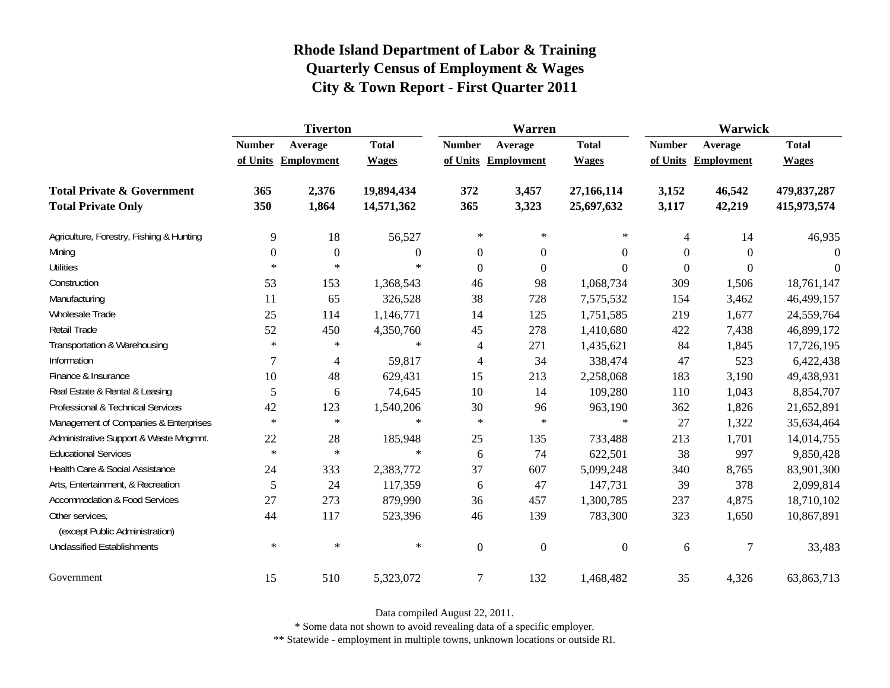|                                                   | <b>Tiverton</b>  |                     |                |                          | Warren              |                  | Warwick          |                     |              |
|---------------------------------------------------|------------------|---------------------|----------------|--------------------------|---------------------|------------------|------------------|---------------------|--------------|
|                                                   | <b>Number</b>    | Average             | <b>Total</b>   | <b>Number</b>            | Average             | <b>Total</b>     | <b>Number</b>    | Average             | <b>Total</b> |
|                                                   |                  | of Units Employment | <b>Wages</b>   |                          | of Units Employment | <b>Wages</b>     |                  | of Units Employment | <b>Wages</b> |
| <b>Total Private &amp; Government</b>             | 365              | 2,376               | 19,894,434     | 372                      | 3,457               | 27,166,114       | 3,152            | 46,542              | 479,837,287  |
| <b>Total Private Only</b>                         | 350              | 1,864               | 14,571,362     | 365                      | 3,323               | 25,697,632       | 3,117            | 42,219              | 415,973,574  |
| Agriculture, Forestry, Fishing & Hunting          | 9                | 18                  | 56,527         | $\ast$                   | $\ast$              | $\ast$           | 4                | 14                  | 46,935       |
| Mining                                            | $\boldsymbol{0}$ | $\boldsymbol{0}$    | $\overline{0}$ | $\boldsymbol{0}$         | $\boldsymbol{0}$    | $\boldsymbol{0}$ | $\overline{0}$   | $\Omega$            | $\Omega$     |
| <b>Utilities</b>                                  | $\ast$           | $\ast$              | $\ast$         | $\overline{0}$           | $\mathbf{0}$        | $\boldsymbol{0}$ | $\boldsymbol{0}$ | $\overline{0}$      | $\Omega$     |
| Construction                                      | 53               | 153                 | 1,368,543      | 46                       | 98                  | 1,068,734        | 309              | 1,506               | 18,761,147   |
| Manufacturing                                     | 11               | 65                  | 326,528        | 38                       | 728                 | 7,575,532        | 154              | 3,462               | 46,499,157   |
| Wholesale Trade                                   | 25               | 114                 | 1,146,771      | 14                       | 125                 | 1,751,585        | 219              | 1,677               | 24,559,764   |
| <b>Retail Trade</b>                               | 52               | 450                 | 4,350,760      | 45                       | 278                 | 1,410,680        | 422              | 7,438               | 46,899,172   |
| Transportation & Warehousing                      | $\ast$           | $\ast$              | $\ast$         | $\overline{\mathcal{A}}$ | 271                 | 1,435,621        | 84               | 1,845               | 17,726,195   |
| Information                                       | 7                | $\overline{4}$      | 59,817         | 4                        | 34                  | 338,474          | 47               | 523                 | 6,422,438    |
| Finance & Insurance                               | 10               | 48                  | 629,431        | 15                       | 213                 | 2,258,068        | 183              | 3,190               | 49,438,931   |
| Real Estate & Rental & Leasing                    | 5                | 6                   | 74,645         | 10                       | 14                  | 109,280          | 110              | 1,043               | 8,854,707    |
| Professional & Technical Services                 | 42               | 123                 | 1,540,206      | 30                       | 96                  | 963,190          | 362              | 1,826               | 21,652,891   |
| Management of Companies & Enterprises             | $\ast$           | $\ast$              | $\ast$         | $\ast$                   | $\ast$              | $\ast$           | 27               | 1,322               | 35,634,464   |
| Administrative Support & Waste Mngmnt.            | 22               | 28                  | 185,948        | 25                       | 135                 | 733,488          | 213              | 1,701               | 14,014,755   |
| <b>Educational Services</b>                       | $\ast$           | $\ast$              | $\ast$         | 6                        | 74                  | 622,501          | 38               | 997                 | 9,850,428    |
| Health Care & Social Assistance                   | 24               | 333                 | 2,383,772      | 37                       | 607                 | 5,099,248        | 340              | 8,765               | 83,901,300   |
| Arts, Entertainment, & Recreation                 | 5                | 24                  | 117,359        | 6                        | 47                  | 147,731          | 39               | 378                 | 2,099,814    |
| <b>Accommodation &amp; Food Services</b>          | 27               | 273                 | 879,990        | 36                       | 457                 | 1,300,785        | 237              | 4,875               | 18,710,102   |
| Other services,<br>(except Public Administration) | 44               | 117                 | 523,396        | 46                       | 139                 | 783,300          | 323              | 1,650               | 10,867,891   |
| <b>Unclassified Establishments</b>                | $\ast$           | $\ast$              | $\ast$         | $\boldsymbol{0}$         | $\boldsymbol{0}$    | $\boldsymbol{0}$ | 6                | 7                   | 33,483       |
| Government                                        | 15               | 510                 | 5,323,072      | $\overline{7}$           | 132                 | 1,468,482        | 35               | 4,326               | 63,863,713   |

Data compiled August 22, 2011.

\* Some data not shown to avoid revealing data of a specific employer.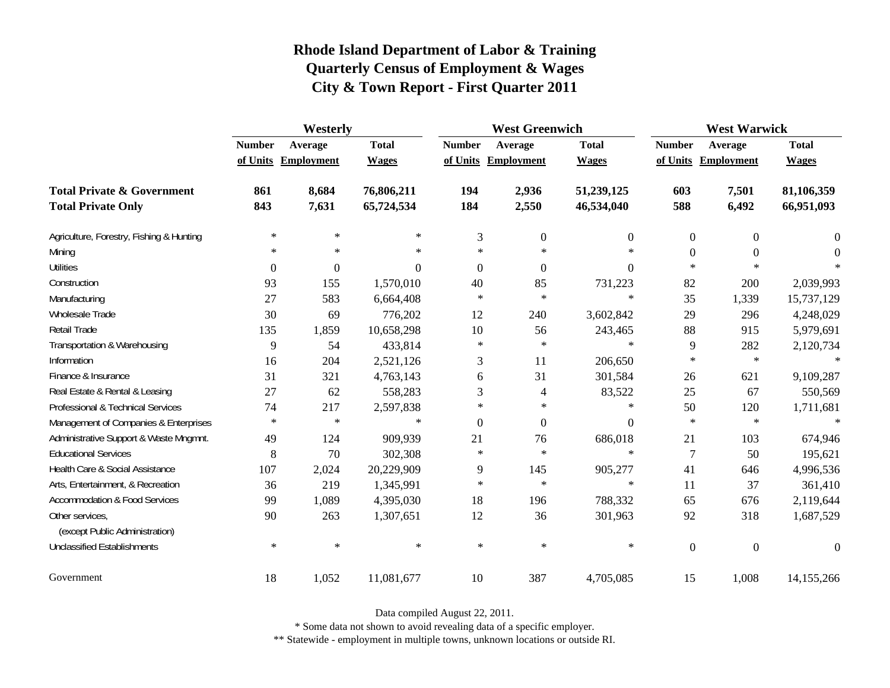|                                                   | Westerly       |                     |              |                | <b>West Greenwich</b> |                  |                  | <b>West Warwick</b> |                  |  |
|---------------------------------------------------|----------------|---------------------|--------------|----------------|-----------------------|------------------|------------------|---------------------|------------------|--|
|                                                   | <b>Number</b>  | Average             | <b>Total</b> | <b>Number</b>  | Average               | <b>Total</b>     | <b>Number</b>    | Average             | <b>Total</b>     |  |
|                                                   |                | of Units Employment | <b>Wages</b> |                | of Units Employment   | <b>Wages</b>     |                  | of Units Employment | <b>Wages</b>     |  |
| <b>Total Private &amp; Government</b>             | 861            | 8,684               | 76,806,211   | 194            | 2,936                 | 51,239,125       | 603              | 7,501               | 81,106,359       |  |
| <b>Total Private Only</b>                         | 843            | 7,631               | 65,724,534   | 184            | 2,550                 | 46,534,040       | 588              | 6,492               | 66,951,093       |  |
| Agriculture, Forestry, Fishing & Hunting          | $\ast$         | $\ast$              | $\ast$       | 3              | $\boldsymbol{0}$      | $\theta$         | $\theta$         | $\mathbf{0}$        | 0                |  |
| Mining                                            | $\ast$         | $\ast$              | $\ast$       | $\ast$         | $\ast$                | $\ast$           | $\theta$         | $\mathbf{0}$        | 0                |  |
| <b>Utilities</b>                                  | $\overline{0}$ | $\boldsymbol{0}$    | $\Omega$     | $\Omega$       | $\Omega$              | $\Omega$         | $\ast$           | $\ast$              |                  |  |
| Construction                                      | 93             | 155                 | 1,570,010    | 40             | 85                    | 731,223          | 82               | 200                 | 2,039,993        |  |
| Manufacturing                                     | 27             | 583                 | 6,664,408    | $\ast$         | $\ast$                | $\ast$           | 35               | 1,339               | 15,737,129       |  |
| <b>Wholesale Trade</b>                            | 30             | 69                  | 776,202      | 12             | 240                   | 3,602,842        | 29               | 296                 | 4,248,029        |  |
| Retail Trade                                      | 135            | 1,859               | 10,658,298   | 10             | 56                    | 243,465          | 88               | 915                 | 5,979,691        |  |
| Transportation & Warehousing                      | 9              | 54                  | 433,814      | $\ast$         | $\ast$                | $\ast$           | 9                | 282                 | 2,120,734        |  |
| Information                                       | 16             | 204                 | 2,521,126    | 3              | 11                    | 206,650          | $\ast$           | $\ast$              |                  |  |
| Finance & Insurance                               | 31             | 321                 | 4,763,143    | 6              | 31                    | 301,584          | 26               | 621                 | 9,109,287        |  |
| Real Estate & Rental & Leasing                    | 27             | 62                  | 558,283      | 3              | 4                     | 83,522           | 25               | 67                  | 550,569          |  |
| Professional & Technical Services                 | 74             | 217                 | 2,597,838    | $\ast$         | $\ast$                | $\ast$           | 50               | 120                 | 1,711,681        |  |
| Management of Companies & Enterprises             | $\ast$         | $\ast$              | $\ast$       | $\overline{0}$ | $\boldsymbol{0}$      | $\boldsymbol{0}$ | $\ast$           | $\ast$              | $\ast$           |  |
| Administrative Support & Waste Mngmnt.            | 49             | 124                 | 909,939      | 21             | 76                    | 686,018          | 21               | 103                 | 674,946          |  |
| <b>Educational Services</b>                       | 8              | 70                  | 302,308      | $\ast$         | $\ast$                | $\ast$           | 7                | 50                  | 195,621          |  |
| Health Care & Social Assistance                   | 107            | 2,024               | 20,229,909   | 9              | 145                   | 905,277          | 41               | 646                 | 4,996,536        |  |
| Arts, Entertainment, & Recreation                 | 36             | 219                 | 1,345,991    | $\ast$         | $\ast$                | $\ast$           | 11               | 37                  | 361,410          |  |
| <b>Accommodation &amp; Food Services</b>          | 99             | 1,089               | 4,395,030    | 18             | 196                   | 788,332          | 65               | 676                 | 2,119,644        |  |
| Other services,<br>(except Public Administration) | 90             | 263                 | 1,307,651    | 12             | 36                    | 301,963          | 92               | 318                 | 1,687,529        |  |
| <b>Unclassified Establishments</b>                | $\ast$         | $\ast$              | $\ast$       | $\ast$         | $\ast$                | $\ast$           | $\boldsymbol{0}$ | $\boldsymbol{0}$    | $\boldsymbol{0}$ |  |
| Government                                        | 18             | 1,052               | 11,081,677   | 10             | 387                   | 4,705,085        | 15               | 1,008               | 14,155,266       |  |

Data compiled August 22, 2011.

\* Some data not shown to avoid revealing data of a specific employer.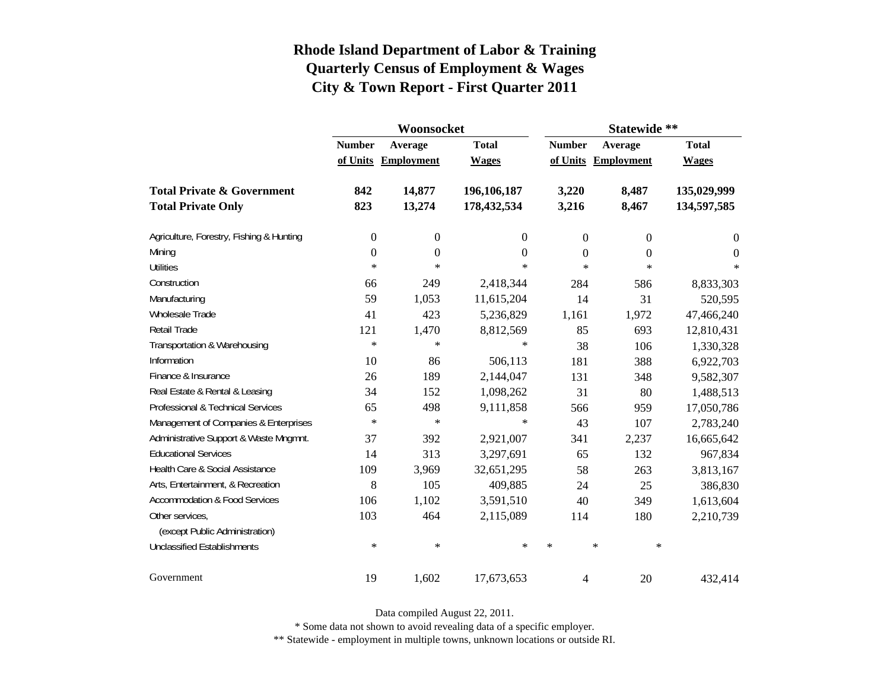|                                          |                          | Woonsocket        |              | Statewide **     |                   |              |  |
|------------------------------------------|--------------------------|-------------------|--------------|------------------|-------------------|--------------|--|
|                                          | <b>Number</b><br>Average |                   | <b>Total</b> | <b>Number</b>    | Average           | <b>Total</b> |  |
|                                          | of Units                 | <b>Employment</b> | <b>Wages</b> | of Units         | <b>Employment</b> | <b>Wages</b> |  |
| <b>Total Private &amp; Government</b>    | 842                      | 14,877            | 196,106,187  | 3,220            | 8,487             | 135,029,999  |  |
| <b>Total Private Only</b>                | 823                      | 13,274            | 178,432,534  | 3,216            | 8,467             | 134,597,585  |  |
| Agriculture, Forestry, Fishing & Hunting | $\boldsymbol{0}$         | $\boldsymbol{0}$  | 0            | $\boldsymbol{0}$ | $\boldsymbol{0}$  | $\theta$     |  |
| Mining                                   | $\boldsymbol{0}$         | $\boldsymbol{0}$  | $\theta$     | $\overline{0}$   | $\overline{0}$    | 0            |  |
| <b>Utilities</b>                         | $\ast$                   | $\ast$            | $\ast$       | $\ast$           | $\ast$            | $\ast$       |  |
| Construction                             | 66                       | 249               | 2,418,344    | 284              | 586               | 8,833,303    |  |
| Manufacturing                            | 59                       | 1,053             | 11,615,204   | 14               | 31                | 520,595      |  |
| Wholesale Trade                          | 41                       | 423               | 5,236,829    | 1,161            | 1,972             | 47,466,240   |  |
| Retail Trade                             | 121                      | 1,470             | 8,812,569    | 85               | 693               | 12,810,431   |  |
| Transportation & Warehousing             | $\ast$                   | $\ast$            | $\ast$       | 38               | 106               | 1,330,328    |  |
| Information                              | 10                       | 86                | 506,113      | 181              | 388               | 6,922,703    |  |
| Finance & Insurance                      | 26                       | 189               | 2,144,047    | 131              | 348               | 9,582,307    |  |
| Real Estate & Rental & Leasing           | 34                       | 152               | 1,098,262    | 31               | 80                | 1,488,513    |  |
| Professional & Technical Services        | 65                       | 498               | 9,111,858    | 566              | 959               | 17,050,786   |  |
| Management of Companies & Enterprises    | $\ast$                   | $\ast$            | $\ast$       | 43               | 107               | 2,783,240    |  |
| Administrative Support & Waste Mngmnt.   | 37                       | 392               | 2,921,007    | 341              | 2,237             | 16,665,642   |  |
| <b>Educational Services</b>              | 14                       | 313               | 3,297,691    | 65               | 132               | 967,834      |  |
| Health Care & Social Assistance          | 109                      | 3,969             | 32,651,295   | 58               | 263               | 3,813,167    |  |
| Arts, Entertainment, & Recreation        | 8                        | 105               | 409,885      | 24               | 25                | 386,830      |  |
| <b>Accommodation &amp; Food Services</b> | 106                      | 1,102             | 3,591,510    | 40               | 349               | 1,613,604    |  |
| Other services,                          | 103                      | 464               | 2,115,089    | 114              | 180               | 2,210,739    |  |
| (except Public Administration)           |                          |                   |              |                  |                   |              |  |
| <b>Unclassified Establishments</b>       | $\ast$                   | $\ast$            | $\ast$       | $\ast$           | $\ast$<br>$\ast$  |              |  |
| Government                               | 19                       | 1,602             | 17,673,653   | 4                | 20                | 432,414      |  |

Data compiled August 22, 2011.

\* Some data not shown to avoid revealing data of a specific employer.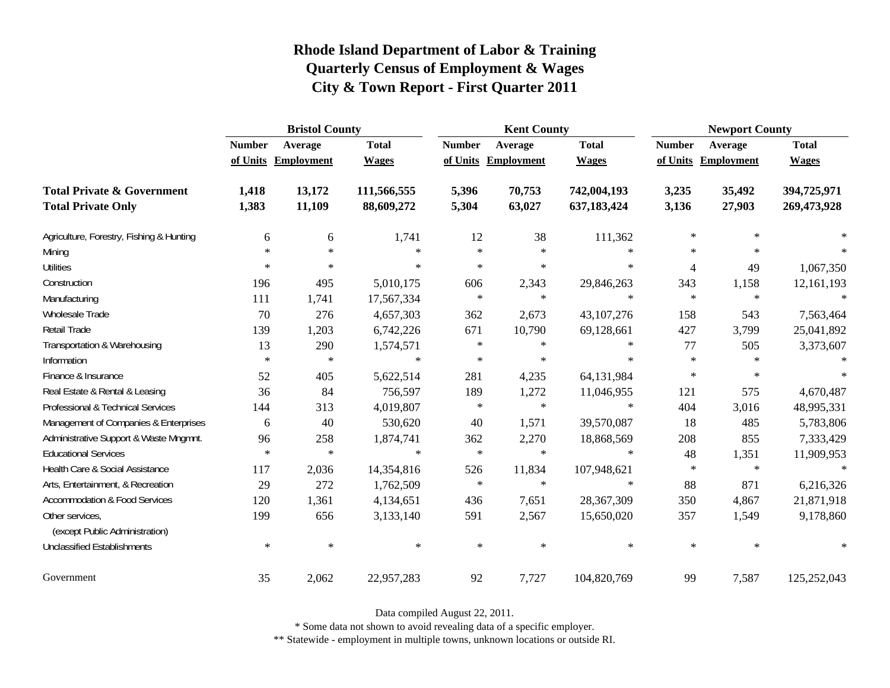|                                                   | <b>Bristol County</b> |                     |              |               | <b>Kent County</b>  |              | <b>Newport County</b> |            |              |  |
|---------------------------------------------------|-----------------------|---------------------|--------------|---------------|---------------------|--------------|-----------------------|------------|--------------|--|
|                                                   | <b>Number</b>         | Average             | <b>Total</b> | <b>Number</b> | Average             | <b>Total</b> | <b>Number</b>         | Average    | <b>Total</b> |  |
|                                                   |                       | of Units Employment | <b>Wages</b> |               | of Units Employment | <b>Wages</b> | of Units              | Employment | <b>Wages</b> |  |
| <b>Total Private &amp; Government</b>             | 1,418                 | 13,172              | 111,566,555  | 5,396         | 70,753              | 742,004,193  | 3,235                 | 35,492     | 394,725,971  |  |
| <b>Total Private Only</b>                         | 1,383                 | 11,109              | 88,609,272   | 5,304         | 63,027              | 637,183,424  | 3,136                 | 27,903     | 269,473,928  |  |
| Agriculture, Forestry, Fishing & Hunting          | 6                     | 6                   | 1,741        | 12            | 38                  | 111,362      | $\ast$                | $\ast$     |              |  |
| Mining                                            | $\ast$                | $\ast$              | $\ast$       | $\ast$        | $\ast$              | $\ast$       | $\ast$                | $\ast$     |              |  |
| <b>Utilities</b>                                  | $*$                   | $\ast$              | $\ast$       | $\ast$        | $\ast$              | $\ast$       | $\overline{4}$        | 49         | 1,067,350    |  |
| Construction                                      | 196                   | 495                 | 5,010,175    | 606           | 2,343               | 29,846,263   | 343                   | 1,158      | 12,161,193   |  |
| Manufacturing                                     | 111                   | 1,741               | 17,567,334   | $\ast$        | $\ast$              | $\ast$       | $\ast$                | $\ast$     | $\ast$       |  |
| Wholesale Trade                                   | 70                    | 276                 | 4,657,303    | 362           | 2,673               | 43, 107, 276 | 158                   | 543        | 7,563,464    |  |
| Retail Trade                                      | 139                   | 1,203               | 6,742,226    | 671           | 10,790              | 69,128,661   | 427                   | 3,799      | 25,041,892   |  |
| Transportation & Warehousing                      | 13                    | 290                 | 1,574,571    | $\ast$        | $\ast$              | $\ast$       | 77                    | 505        | 3,373,607    |  |
| Information                                       | $\ast$                | $\ast$              | $\ast$       | $\ast$        | $\ast$              | $\ast$       | $\ast$                | $\ast$     | $\ast$       |  |
| Finance & Insurance                               | 52                    | 405                 | 5,622,514    | 281           | 4,235               | 64,131,984   | $\ast$                | $\ast$     | $\ast$       |  |
| Real Estate & Rental & Leasing                    | 36                    | 84                  | 756,597      | 189           | 1,272               | 11,046,955   | 121                   | 575        | 4,670,487    |  |
| Professional & Technical Services                 | 144                   | 313                 | 4,019,807    | $\ast$        | $\ast$              | $\ast$       | 404                   | 3,016      | 48,995,331   |  |
| Management of Companies & Enterprises             | 6                     | 40                  | 530,620      | 40            | 1,571               | 39,570,087   | 18                    | 485        | 5,783,806    |  |
| Administrative Support & Waste Mngmnt.            | 96                    | 258                 | 1,874,741    | 362           | 2,270               | 18,868,569   | 208                   | 855        | 7,333,429    |  |
| <b>Educational Services</b>                       | $\ast$                | $\ast$              | $\ast$       | $\ast$        | $\ast$              | $\ast$       | 48                    | 1,351      | 11,909,953   |  |
| Health Care & Social Assistance                   | 117                   | 2,036               | 14,354,816   | 526           | 11,834              | 107,948,621  | $\ast$                | $\ast$     | $\ast$       |  |
| Arts, Entertainment, & Recreation                 | 29                    | 272                 | 1,762,509    | $\ast$        | $\ast$              | $\ast$       | 88                    | 871        | 6,216,326    |  |
| <b>Accommodation &amp; Food Services</b>          | 120                   | 1,361               | 4,134,651    | 436           | 7,651               | 28,367,309   | 350                   | 4,867      | 21,871,918   |  |
| Other services,<br>(except Public Administration) | 199                   | 656                 | 3,133,140    | 591           | 2,567               | 15,650,020   | 357                   | 1,549      | 9,178,860    |  |
| <b>Unclassified Establishments</b>                | $\ast$                | $\ast$              | $\ast$       | $\ast$        | $\ast$              | $\ast$       | $\ast$                | $\ast$     | $\ast$       |  |
| Government                                        | 35                    | 2,062               | 22,957,283   | 92            | 7,727               | 104,820,769  | 99                    | 7,587      | 125,252,043  |  |

Data compiled August 22, 2011.

\* Some data not shown to avoid revealing data of a specific employer.